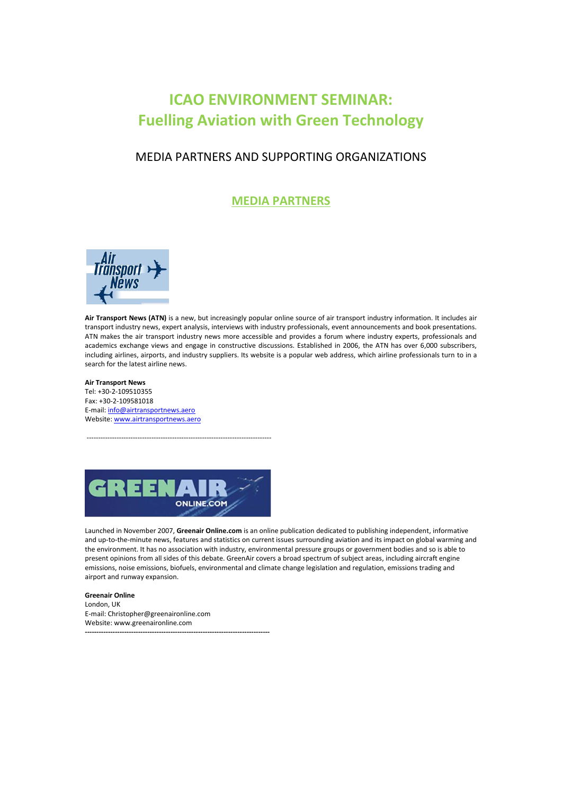# **ICAO ENVIRONMENT SEMINAR: Fuelling Aviation with Green Technology**

## MEDIA PARTNERS AND SUPPORTING ORGANIZATIONS

**MEDIA PARTNERS**



**Air Transport News (ATN)** is a new, but increasingly popular online source of air transport industry information. It includes air transport industry news, expert analysis, interviews with industry professionals, event announcements and book presentations. ATN makes the air transport industry news more accessible and provides a forum where industry experts, professionals and academics exchange views and engage in constructive discussions. Established in 2006, the ATN has over 6,000 subscribers, including airlines, airports, and industry suppliers. Its website is a popular web address, which airline professionals turn to in a search for the latest airline news.

**Air Transport News**

Tel: +30-2-109510355 Fax: +30-2-109581018 E-mail[: info@airtransportnews.aero](mailto:info@airtransportnews.aero) Website[: www.airtransportnews.aero](http://www.airtransportnews.aero/)



--------------------------------------------------------------------------------

Launched in November 2007, **Greenair Online.com** is an online publication dedicated to publishing independent, informative and up-to-the-minute news, features and statistics on current issues surrounding aviation and its impact on global warming and the environment. It has no association with industry, environmental pressure groups or government bodies and so is able to present opinions from all sides of this debate. GreenAir covers a broad spectrum of subject areas, including aircraft engine emissions, noise emissions, biofuels, environmental and climate change legislation and regulation, emissions trading and airport and runway expansion.

**Greenair Online** London, UK E-mail: Christopher@greenaironline.com Website: www.greenaironline.com **--------------------------------------------------------------------------------**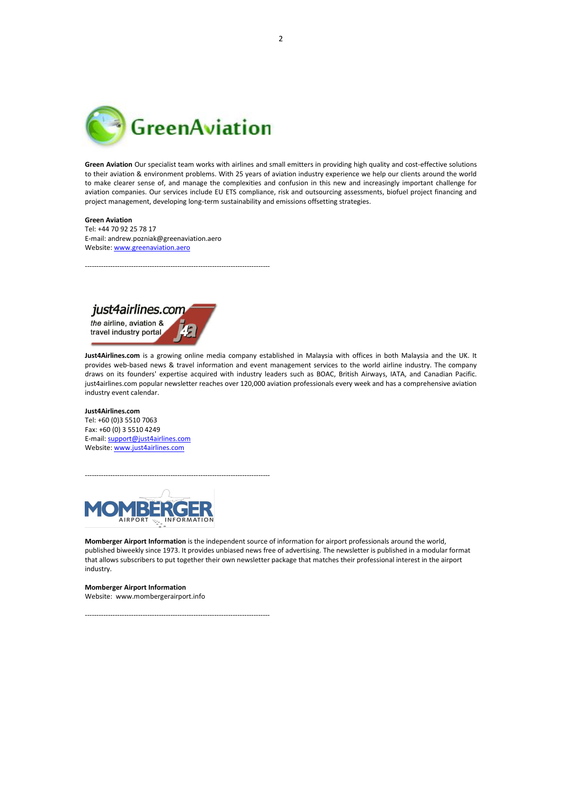

--------------------------------------------------------------------------------

**Green Aviation** Our specialist team works with airlines and small emitters in providing high quality and cost-effective solutions to their aviation & environment problems. With 25 years of aviation industry experience we help our clients around the world to make clearer sense of, and manage the complexities and confusion in this new and increasingly important challenge for aviation companies. Our services include EU ETS compliance, risk and outsourcing assessments, biofuel project financing and project management, developing long-term sustainability and emissions offsetting strategies.

#### **Green Aviation**

Tel: +44 70 92 25 78 17 E-mail: andrew.pozniak@greenaviation.aero Website[: www.greenaviation.aero](http://www.greenaviation.aero/)

just4airlines.com

the airline, aviation & travel industry portal

**Just4Airlines.com** is a growing online media company established in Malaysia with offices in both Malaysia and the UK. It provides web-based news & travel information and event management services to the world airline industry. The company draws on its founders' expertise acquired with industry leaders such as BOAC, British Airways, IATA, and Canadian Pacific. just4airlines.com popular newsletter reaches over 120,000 aviation professionals every week and has a comprehensive aviation industry event calendar.

**Just4Airlines.com** Tel: +60 (0)3 5510 7063 Fax: +60 (0) 3 5510 4249 E-mail: [support@just4airlines.com](mailto:support@just4airlines.com) Website[: www.just4airlines.com](http://www.just4airlines.com/)



--------------------------------------------------------------------------------

--------------------------------------------------------------------------------

**Momberger Airport Information** is the independent source of information for airport professionals around the world, published biweekly since 1973. It provides unbiased news free of advertising. The newsletter is published in a modular format that allows subscribers to put together their own newsletter package that matches their professional interest in the airport industry.

**Momberger Airport Information**  Website: www.mombergerairport.info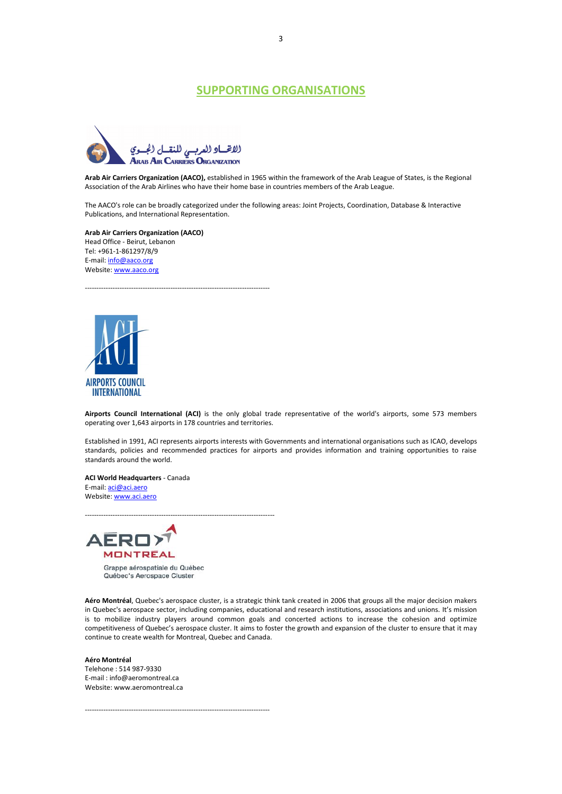### **SUPPORTING ORGANISATIONS**



**Arab Air Carriers Organization (AACO),** established in 1965 within the framework of the Arab League of States, is the Regional Association of the Arab Airlines who have their home base in countries members of the Arab League.

The AACO's role can be broadly categorized under the following areas: Joint Projects, Coordination, Database & Interactive Publications, and International Representation.

**Arab Air Carriers Organization (AACO)** Head Office - Beirut, Lebanon Tel: +961-1-861297/8/9 E-mail[: info@aaco.org](mailto:info@aaco.org) Website[: www.aaco.org](http://www.aaco.org/)

--------------------------------------------------------------------------------



**Airports Council International (ACI)** is the only global trade representative of the world's airports, some 573 members operating over 1,643 airports in 178 countries and territories.

Established in 1991, ACI represents airports interests with Governments and international organisations such as ICAO, develops standards, policies and recommended practices for airports and provides information and training opportunities to raise standards around the world.

**ACI World Headquarters** - Canada E-mail[: aci@aci.aero](mailto:aci@aci.aero) Website[: www.aci.aero](http://www.aci.aero/)



Grappe aérospatiale du Québec Québec's Aerospace Cluster

**Aéro Montréal**, Quebec's aerospace cluster, is a strategic think tank created in 2006 that groups all the major decision makers in Quebec's aerospace sector, including companies, educational and research institutions, associations and unions. It's mission is to mobilize industry players around common goals and concerted actions to increase the cohesion and optimize competitiveness of Quebec's aerospace cluster. It aims to foster the growth and expansion of the cluster to ensure that it may continue to create wealth for Montreal, Quebec and Canada.

#### **Aéro Montréal**

Telehone : 514 987-9330 E-mail : info@aeromontreal.ca Website: www.aeromontreal.ca

--------------------------------------------------------------------------------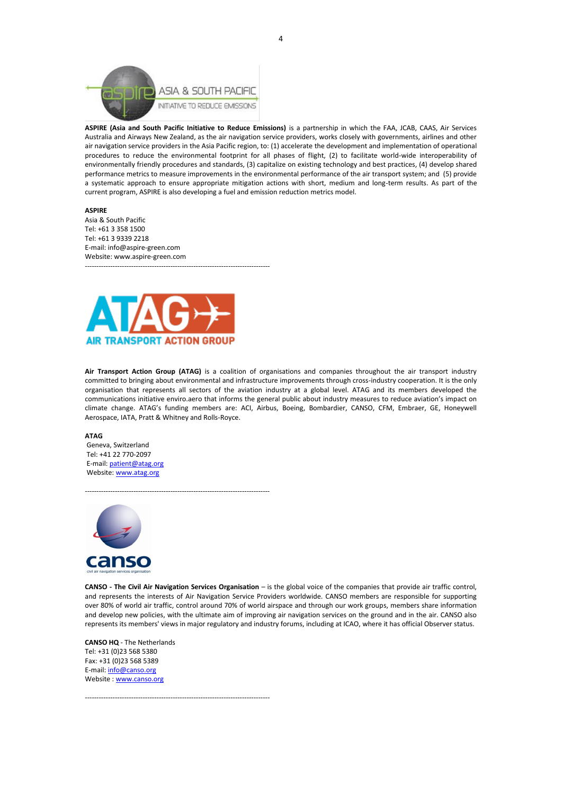

**ASPIRE (Asia and South Pacific Initiative to Reduce Emissions)** is a partnership in which the FAA, JCAB, CAAS, Air Services Australia and Airways New Zealand, as the air navigation service providers, works closely with governments, airlines and other air navigation service providers in the Asia Pacific region, to: (1) accelerate the development and implementation of operational procedures to reduce the environmental footprint for all phases of flight, (2) to facilitate world-wide interoperability of environmentally friendly procedures and standards, (3) capitalize on existing technology and best practices, (4) develop shared performance metrics to measure improvements in the environmental performance of the air transport system; and (5) provide a systematic approach to ensure appropriate mitigation actions with short, medium and long-term results. As part of the current program, ASPIRE is also developing a fuel and emission reduction metrics model.

**ASPIRE**

Asia & South Pacific Tel: +61 3 358 1500 Tel: +61 3 9339 2218 E-mail: info@aspire-green.com Website: www.aspire-green.com



--------------------------------------------------------------------------------

--------------------------------------------------------------------------------

--------------------------------------------------------------------------------

**Air Transport Action Group (ATAG)** is a coalition of organisations and companies throughout the air transport industry committed to bringing about environmental and infrastructure improvements through cross-industry cooperation. It is the only organisation that represents all sectors of the aviation industry at a global level. ATAG and its members developed the communications initiative enviro.aero that informs the general public about industry measures to reduce aviation's impact on climate change. ATAG's funding members are: ACI, Airbus, Boeing, Bombardier, CANSO, CFM, Embraer, GE, Honeywell Aerospace, IATA, Pratt & Whitney and Rolls-Royce.

#### **ATAG**

Geneva, Switzerland Tel: +41 22 770-2097 E-mail[: patient@atag.org](mailto:patient@atag.org) Website[: www.atag.org](http://www.atag.org/)



**CANSO - The Civil Air Navigation Services Organisation** – is the global voice of the companies that provide air traffic control, and represents the interests of Air Navigation Service Providers worldwide. CANSO members are responsible for supporting over 80% of world air traffic, control around 70% of world airspace and through our work groups, members share information and develop new policies, with the ultimate aim of improving air navigation services on the ground and in the air. CANSO also represents its members' views in major regulatory and industry forums, including at ICAO, where it has official Observer status.

**CANSO HQ** - The Netherlands Tel: +31 (0)23 568 5380 Fax: +31 (0)23 568 5389 E-mail[: info@canso.org](mailto:info@canso.org) Website [: www.canso.org](http://www.canso.org/)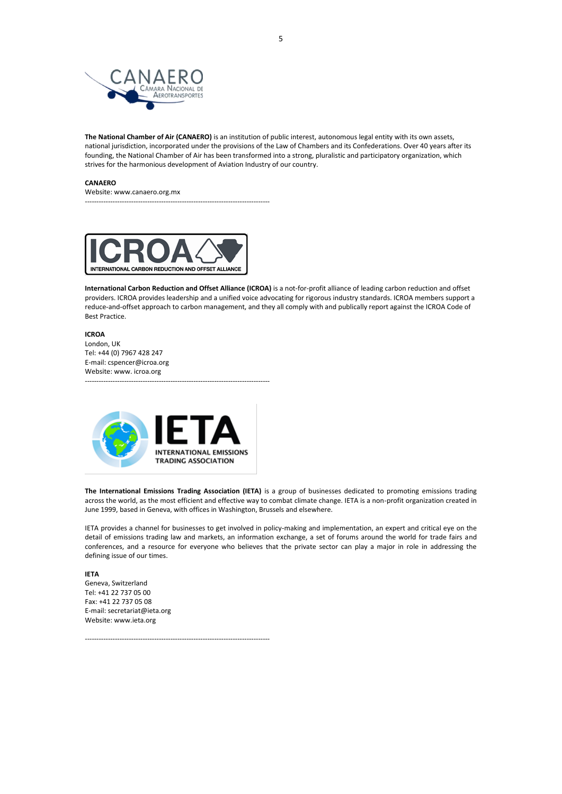

**The National Chamber of Air (CANAERO)** is an institution of public interest, autonomous legal entity with its own assets, national jurisdiction, incorporated under the provisions of the Law of Chambers and its Confederations. Over 40 years after its founding, the National Chamber of Air has been transformed into a strong, pluralistic and participatory organization, which strives for the harmonious development of Aviation Industry of our country.

#### **CANAERO**

Website: www.canaero.org.mx --------------------------------------------------------------------------------



**International Carbon Reduction and Offset Alliance (ICROA)** is a not-for-profit alliance of leading carbon reduction and offset providers. ICROA provides leadership and a unified voice advocating for rigorous industry standards. ICROA members support a reduce-and-offset approach to carbon management, and they all comply with and publically report against the ICROA Code of Best Practice.

#### **ICROA**

London, UK Tel: +44 (0) 7967 428 247 E-mail: cspencer@icroa.org Website: www. icroa.org --------------------------------------------------------------------------------



--------------------------------------------------------------------------------

**The International Emissions Trading Association (IETA)** is a group of businesses dedicated to promoting emissions trading across the world, as the most efficient and effective way to combat climate change. IETA is a non-profit organization created in June 1999, based in Geneva, with offices in Washington, Brussels and elsewhere.

IETA provides a channel for businesses to get involved in policy-making and implementation, an expert and critical eye on the detail of emissions trading law and markets, an information exchange, a set of forums around the world for trade fairs and conferences, and a resource for everyone who believes that the private sector can play a major in role in addressing the defining issue of our times.

#### **IETA**

Geneva, Switzerland Tel: +41 22 737 05 00 Fax: +41 22 737 05 08 E-mail: secretariat@ieta.org Website: www.ieta.org

5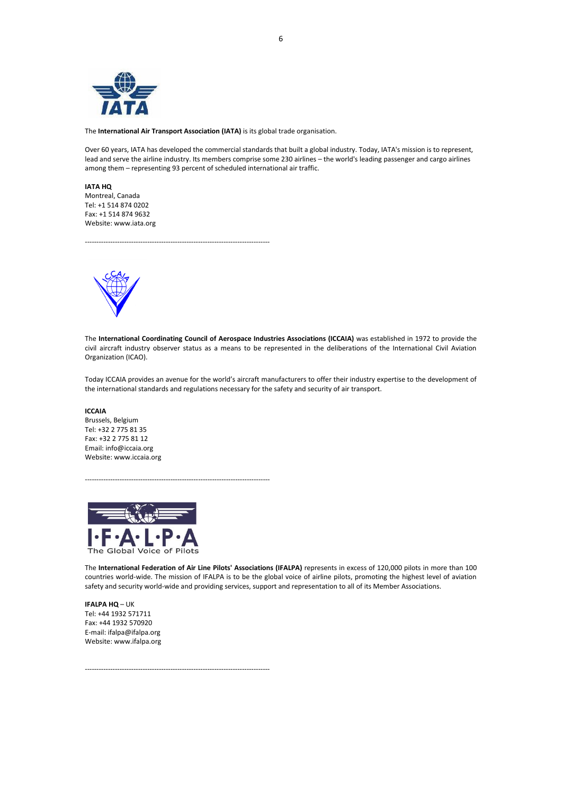

The **International Air Transport Association (IATA)** is its global trade organisation.

Over 60 years, IATA has developed the commercial standards that built a global industry. Today, IATA's mission is to represent, lead and serve the airline industry. Its members comprise some 230 airlines – the world's leading passenger and cargo airlines among them – representing 93 percent of scheduled international air traffic.

**IATA HQ** Montreal, Canada Tel: +1 514 874 0202 Fax: +1 514 874 9632 Website: www.iata.org

--------------------------------------------------------------------------------



The **International Coordinating Council of Aerospace Industries Associations (ICCAIA)** was established in 1972 to provide the civil aircraft industry observer status as a means to be represented in the deliberations of the International Civil Aviation Organization (ICAO).

Today ICCAIA provides an avenue for the world's aircraft manufacturers to offer their industry expertise to the development of the international standards and regulations necessary for the safety and security of air transport.

**ICCAIA** Brussels, Belgium Tel: +32 2 775 81 35 Fax: +32 2 775 81 12 Email: info@iccaia.org Website: www.iccaia.org



The **International Federation of Air Line Pilots' Associations (IFALPA)** represents in excess of 120,000 pilots in more than 100 countries world-wide. The mission of IFALPA is to be the global voice of airline pilots, promoting the highest level of aviation safety and security world-wide and providing services, support and representation to all of its Member Associations.

**IFALPA HQ** – UK Tel: +44 1932 571711 Fax: +44 1932 570920 E-mail: ifalpa@ifalpa.org Website: www.ifalpa.org

--------------------------------------------------------------------------------

--------------------------------------------------------------------------------